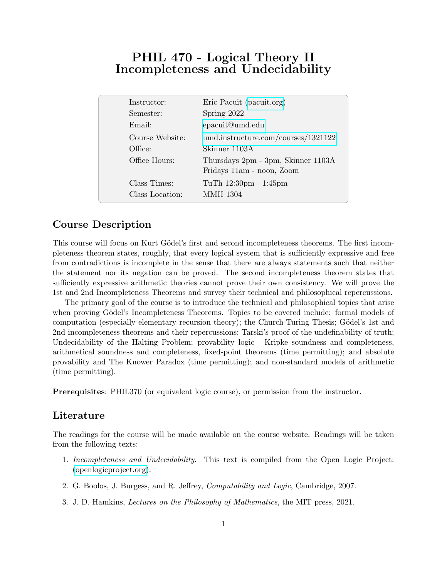# PHIL 470 - Logical Theory II Incompleteness and Undecidability

| Instructor:     | Eric Pacuit (pacuit.org)                                        |
|-----------------|-----------------------------------------------------------------|
| Semester:       | Spring 2022                                                     |
| Email:          | epacuit@umd.edu                                                 |
| Course Website: | umd.instructure.com/courses/1321122                             |
| Office:         | Skinner 1103A                                                   |
| Office Hours:   | Thursdays 2pm - 3pm, Skinner 1103A<br>Fridays 11am - noon, Zoom |
|                 |                                                                 |
| Class Times:    | TuTh 12:30pm - 1:45pm                                           |
| Class Location: | <b>MMH 1304</b>                                                 |

## Course Description

This course will focus on Kurt Gödel's first and second incompleteness theorems. The first incompleteness theorem states, roughly, that every logical system that is sufficiently expressive and free from contradictions is incomplete in the sense that there are always statements such that neither the statement nor its negation can be proved. The second incompleteness theorem states that sufficiently expressive arithmetic theories cannot prove their own consistency. We will prove the 1st and 2nd Incompleteness Theorems and survey their technical and philosophical repercussions.

The primary goal of the course is to introduce the technical and philosophical topics that arise when proving Gödel's Incompleteness Theorems. Topics to be covered include: formal models of computation (especially elementary recursion theory); the Church-Turing Thesis; Gödel's 1st and 2nd incompleteness theorems and their repercussions; Tarski's proof of the undefinability of truth; Undecidability of the Halting Problem; provability logic - Kripke soundness and completeness, arithmetical soundness and completeness, fixed-point theorems (time permitting); and absolute provability and The Knower Paradox (time permitting); and non-standard models of arithmetic (time permitting).

Prerequisites: PHIL370 (or equivalent logic course), or permission from the instructor.

#### Literature

The readings for the course will be made available on the course website. Readings will be taken from the following texts:

- 1. Incompleteness and Undecidability. This text is compiled from the Open Logic Project: [\(openlogicproject.org\)](openlogicproject.org).
- 2. G. Boolos, J. Burgess, and R. Jeffrey, Computability and Logic, Cambridge, 2007.
- 3. J. D. Hamkins, Lectures on the Philosophy of Mathematics, the MIT press, 2021.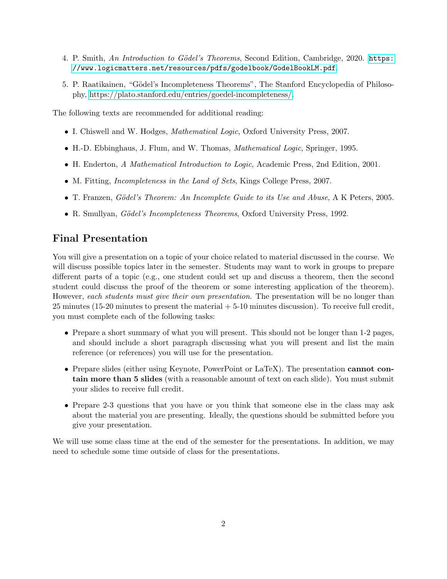- 4. P. Smith, An Introduction to Gödel's Theorems, Second Edition, Cambridge, 2020. [https:](https://www.logicmatters.net/resources/pdfs/godelbook/GodelBookLM.pdf) [//www.logicmatters.net/resources/pdfs/godelbook/GodelBookLM.pdf](https://www.logicmatters.net/resources/pdfs/godelbook/GodelBookLM.pdf).
- 5. P. Raatikainen, "Gödel's Incompleteness Theorems", The Stanford Encyclopedia of Philosophy, [https://plato.stanford.edu/entries/goedel-incompleteness/.](https://plato.stanford.edu/entries/goedel-incompleteness/)

The following texts are recommended for additional reading:

- I. Chiswell and W. Hodges, Mathematical Logic, Oxford University Press, 2007.
- H.-D. Ebbinghaus, J. Flum, and W. Thomas, Mathematical Logic, Springer, 1995.
- H. Enderton, A Mathematical Introduction to Logic, Academic Press, 2nd Edition, 2001.
- M. Fitting, *Incompleteness in the Land of Sets*, Kings College Press, 2007.
- T. Franzen, Gödel's Theorem: An Incomplete Guide to its Use and Abuse, A K Peters, 2005.
- R. Smullyan, *Gödel's Incompleteness Theorems*, Oxford University Press, 1992.

## Final Presentation

You will give a presentation on a topic of your choice related to material discussed in the course. We will discuss possible topics later in the semester. Students may want to work in groups to prepare different parts of a topic (e.g., one student could set up and discuss a theorem, then the second student could discuss the proof of the theorem or some interesting application of the theorem). However, each students must give their own presentation. The presentation will be no longer than 25 minutes (15-20 minutes to present the material + 5-10 minutes discussion). To receive full credit, you must complete each of the following tasks:

- Prepare a short summary of what you will present. This should not be longer than 1-2 pages, and should include a short paragraph discussing what you will present and list the main reference (or references) you will use for the presentation.
- Prepare slides (either using Keynote, PowerPoint or LaTeX). The presentation **cannot con**tain more than 5 slides (with a reasonable amount of text on each slide). You must submit your slides to receive full credit.
- Prepare 2-3 questions that you have or you think that someone else in the class may ask about the material you are presenting. Ideally, the questions should be submitted before you give your presentation.

We will use some class time at the end of the semester for the presentations. In addition, we may need to schedule some time outside of class for the presentations.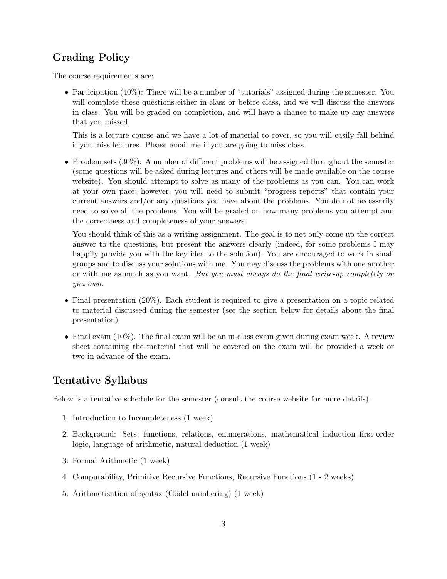## Grading Policy

The course requirements are:

• Participation (40%): There will be a number of "tutorials" assigned during the semester. You will complete these questions either in-class or before class, and we will discuss the answers in class. You will be graded on completion, and will have a chance to make up any answers that you missed.

This is a lecture course and we have a lot of material to cover, so you will easily fall behind if you miss lectures. Please email me if you are going to miss class.

• Problem sets  $(30\%)$ : A number of different problems will be assigned throughout the semester (some questions will be asked during lectures and others will be made available on the course website). You should attempt to solve as many of the problems as you can. You can work at your own pace; however, you will need to submit "progress reports" that contain your current answers and/or any questions you have about the problems. You do not necessarily need to solve all the problems. You will be graded on how many problems you attempt and the correctness and completeness of your answers.

You should think of this as a writing assignment. The goal is to not only come up the correct answer to the questions, but present the answers clearly (indeed, for some problems I may happily provide you with the key idea to the solution). You are encouraged to work in small groups and to discuss your solutions with me. You may discuss the problems with one another or with me as much as you want. But you must always do the final write-up completely on you own.

- Final presentation (20%). Each student is required to give a presentation on a topic related to material discussed during the semester (see the section below for details about the final presentation).
- Final exam (10%). The final exam will be an in-class exam given during exam week. A review sheet containing the material that will be covered on the exam will be provided a week or two in advance of the exam.

## Tentative Syllabus

Below is a tentative schedule for the semester (consult the course website for more details).

- 1. Introduction to Incompleteness (1 week)
- 2. Background: Sets, functions, relations, enumerations, mathematical induction first-order logic, language of arithmetic, natural deduction (1 week)
- 3. Formal Arithmetic (1 week)
- 4. Computability, Primitive Recursive Functions, Recursive Functions (1 2 weeks)
- 5. Arithmetization of syntax (Gödel numbering) (1 week)